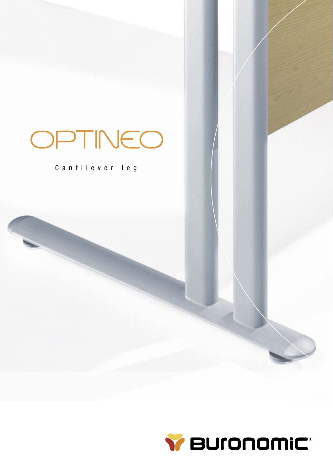## OPTINEO

Cantilever leg

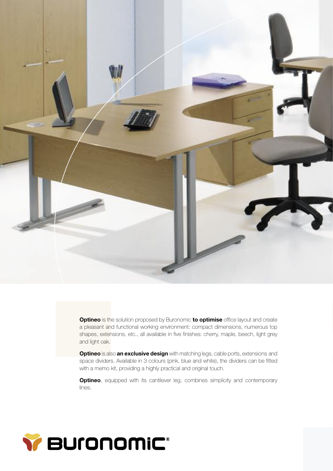

**Optineo** is the solution proposed by Buronomic **to optimise** office layout and create a pleasant and functional working environment: compact dimensions, numerous top shapes, extensions, etc., all available in five finishes: cherry, maple, beech, light grey and light oak.

**Optineo** is also **an exclusive design** with matching legs, cable ports, extensions and space dividers. Available in 3 colours (pink, blue and white), the dividers can be fitted with a memo kit, providing a highly practical and original touch.

**Optineo**, equipped with its cantilever leg, combines simplicity and contemporary lines.

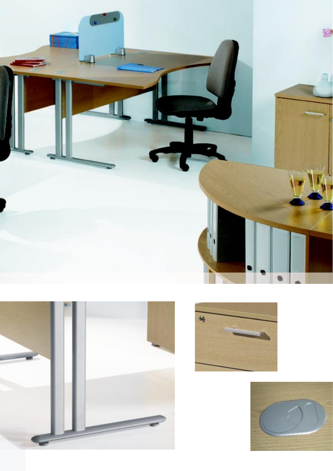





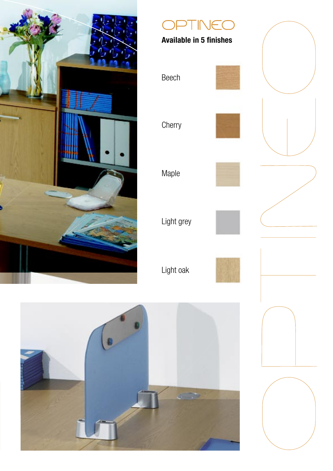

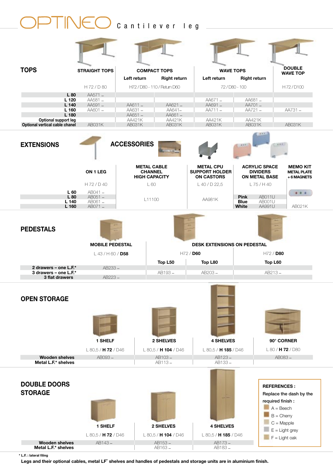## Cantilever leq



**\* L.F. : lateral filing**

**Legs and their optional cables, metal LF\* shelves and handles of pedestals and storage units are in aluminium finish.**